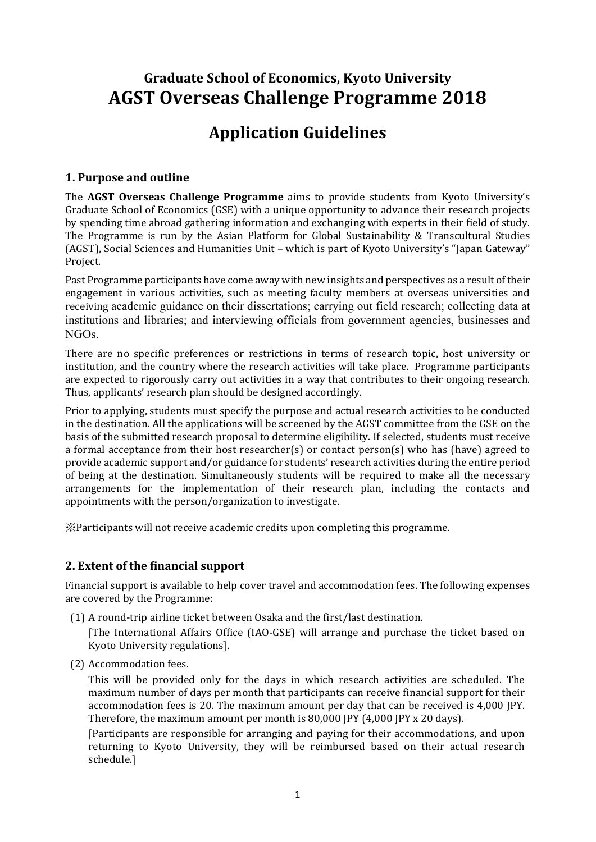## **Graduate School of Economics, Kyoto University AGST Overseas Challenge Programme 2018**

# **Application Guidelines**

#### **1. Purpose and outline**

The **AGST Overseas Challenge Programme** aims to provide students from Kyoto University's Graduate School of Economics (GSE) with a unique opportunity to advance their research projects by spending time abroad gathering information and exchanging with experts in their field of study. The Programme is run by the Asian Platform for Global Sustainability & Transcultural Studies (AGST), Social Sciences and Humanities Unit – which is part of Kyoto University's "Japan Gateway" Project.

Past Programme participants have come away with new insights and perspectives as a result of their engagement in various activities, such as meeting faculty members at overseas universities and receiving academic guidance on their dissertations; carrying out field research; collecting data at institutions and libraries; and interviewing officials from government agencies, businesses and NGOs.

There are no specific preferences or restrictions in terms of research topic, host university or institution, and the country where the research activities will take place. Programme participants are expected to rigorously carry out activities in a way that contributes to their ongoing research. Thus, applicants' research plan should be designed accordingly.

Prior to applying, students must specify the purpose and actual research activities to be conducted in the destination. All the applications will be screened by the AGST committee from the GSE on the basis of the submitted research proposal to determine eligibility. If selected, students must receive a formal acceptance from their host researcher(s) or contact person(s) who has (have) agreed to provide academic support and/or guidance for students' research activities during the entire period of being at the destination. Simultaneously students will be required to make all the necessary arrangements for the implementation of their research plan, including the contacts and appointments with the person/organization to investigate.

※Participants will not receive academic credits upon completing this programme.

## **2. Extent of the financial support**

Financial support is available to help cover travel and accommodation fees. The following expenses are covered by the Programme:

(1) A round-trip airline ticket between Osaka and the first/last destination.

[The International Affairs Office (IAO-GSE) will arrange and purchase the ticket based on Kyoto University regulations].

(2) Accommodation fees.

This will be provided only for the days in which research activities are scheduled. The maximum number of days per month that participants can receive financial support for their accommodation fees is 20. The maximum amount per day that can be received is 4,000 JPY. Therefore, the maximum amount per month is 80,000 JPY (4,000 JPY x 20 days).

[Participants are responsible for arranging and paying for their accommodations, and upon returning to Kyoto University, they will be reimbursed based on their actual research schedule.]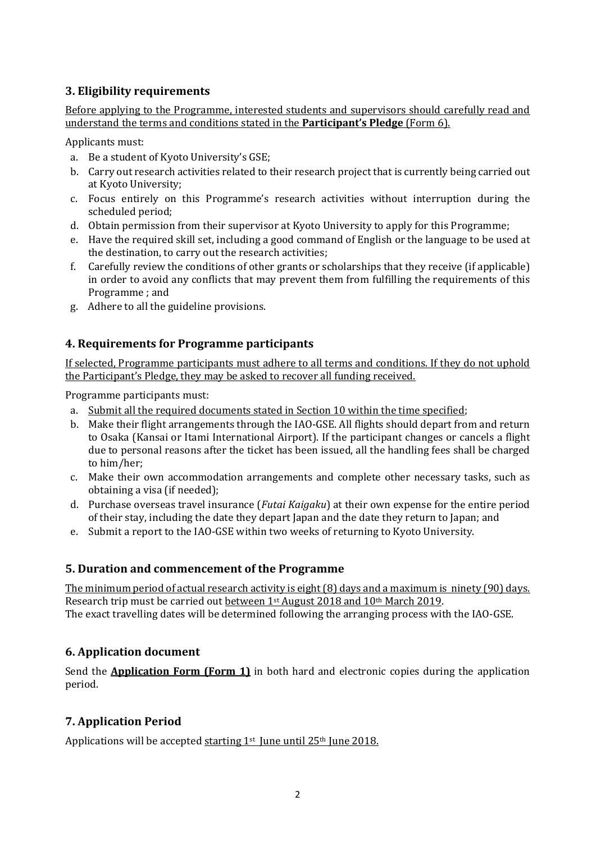## **3. Eligibility requirements**

Before applying to the Programme, interested students and supervisors should carefully read and understand the terms and conditions stated in the **Participant's Pledge** (Form 6).

Applicants must:

- a. Be a student of Kyoto University's GSE;
- b. Carry out research activities related to their research project that is currently being carried out at Kyoto University;
- c. Focus entirely on this Programme's research activities without interruption during the scheduled period;
- d. Obtain permission from their supervisor at Kyoto University to apply for this Programme;
- e. Have the required skill set, including a good command of English or the language to be used at the destination, to carry out the research activities;
- f. Carefully review the conditions of other grants or scholarships that they receive (if applicable) in order to avoid any conflicts that may prevent them from fulfilling the requirements of this Programme ; and
- g. Adhere to all the guideline provisions.

#### **4. Requirements for Programme participants**

If selected, Programme participants must adhere to all terms and conditions. If they do not uphold the Participant's Pledge, they may be asked to recover all funding received.

Programme participants must:

- a. Submit all the required documents stated in Section 10 within the time specified;
- b. Make their flight arrangements through the IAO-GSE. All flights should depart from and return to Osaka (Kansai or Itami International Airport). If the participant changes or cancels a flight due to personal reasons after the ticket has been issued, all the handling fees shall be charged to him/her;
- c. Make their own accommodation arrangements and complete other necessary tasks, such as obtaining a visa (if needed);
- d. Purchase overseas travel insurance (*Futai Kaigaku*) at their own expense for the entire period of their stay, including the date they depart Japan and the date they return to Japan; and
- e. Submit a report to the IAO-GSE within two weeks of returning to Kyoto University.

#### **5. Duration and commencement of the Programme**

The minimum period of actual research activity is eight (8) days and a maximum is ninety (90) days. Research trip must be carried out between 1st August 2018 and 10th March 2019. The exact travelling dates will be determined following the arranging process with the IAO-GSE.

## **6.** Application document

Send the **Application Form (Form 1)** in both hard and electronic copies during the application period.

## **7. Application Period**

Applications will be accepted starting  $1<sup>st</sup>$  June until 25<sup>th</sup> June 2018.